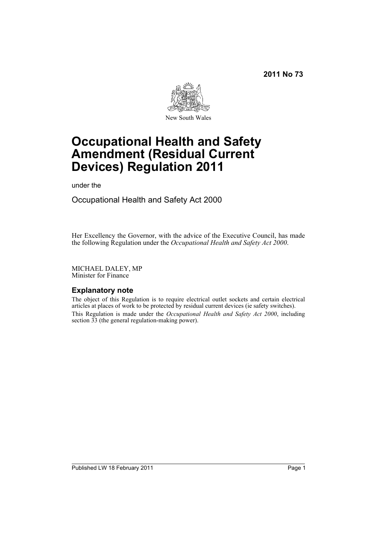**2011 No 73**



# **Occupational Health and Safety Amendment (Residual Current Devices) Regulation 2011**

under the

Occupational Health and Safety Act 2000

Her Excellency the Governor, with the advice of the Executive Council, has made the following Regulation under the *Occupational Health and Safety Act 2000*.

MICHAEL DALEY, MP Minister for Finance

## **Explanatory note**

The object of this Regulation is to require electrical outlet sockets and certain electrical articles at places of work to be protected by residual current devices (ie safety switches). This Regulation is made under the *Occupational Health and Safety Act 2000*, including section 33 (the general regulation-making power).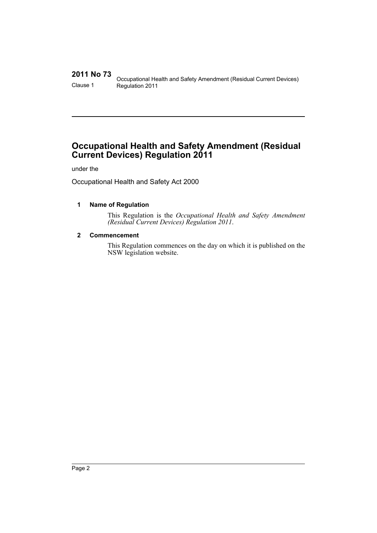# **2011 No 73**

Occupational Health and Safety Amendment (Residual Current Devices) Clause 1 Regulation 2011

# **Occupational Health and Safety Amendment (Residual Current Devices) Regulation 2011**

under the

Occupational Health and Safety Act 2000

## **1 Name of Regulation**

This Regulation is the *Occupational Health and Safety Amendment (Residual Current Devices) Regulation 2011*.

## **2 Commencement**

This Regulation commences on the day on which it is published on the NSW legislation website.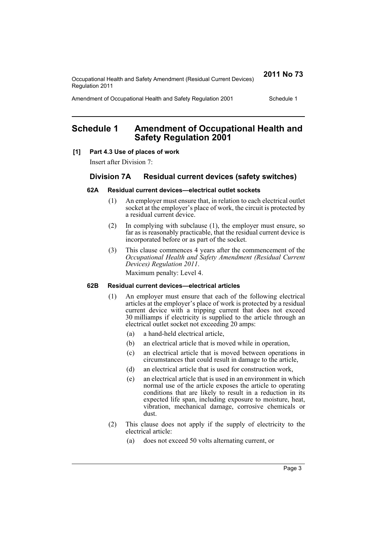Occupational Health and Safety Amendment (Residual Current Devices) Regulation 2011

**2011 No 73**

Amendment of Occupational Health and Safety Regulation 2001 Schedule 1

# **Schedule 1 Amendment of Occupational Health and Safety Regulation 2001**

#### **[1] Part 4.3 Use of places of work**

Insert after Division 7:

## **Division 7A Residual current devices (safety switches)**

#### **62A Residual current devices—electrical outlet sockets**

- (1) An employer must ensure that, in relation to each electrical outlet socket at the employer's place of work, the circuit is protected by a residual current device.
- (2) In complying with subclause (1), the employer must ensure, so far as is reasonably practicable, that the residual current device is incorporated before or as part of the socket.
- (3) This clause commences 4 years after the commencement of the *Occupational Health and Safety Amendment (Residual Current Devices) Regulation 2011*.

Maximum penalty: Level 4.

#### **62B Residual current devices—electrical articles**

- (1) An employer must ensure that each of the following electrical articles at the employer's place of work is protected by a residual current device with a tripping current that does not exceed 30 milliamps if electricity is supplied to the article through an electrical outlet socket not exceeding 20 amps:
	- (a) a hand-held electrical article,
	- (b) an electrical article that is moved while in operation,
	- (c) an electrical article that is moved between operations in circumstances that could result in damage to the article,
	- (d) an electrical article that is used for construction work,
	- (e) an electrical article that is used in an environment in which normal use of the article exposes the article to operating conditions that are likely to result in a reduction in its expected life span, including exposure to moisture, heat, vibration, mechanical damage, corrosive chemicals or dust.
- (2) This clause does not apply if the supply of electricity to the electrical article:
	- (a) does not exceed 50 volts alternating current, or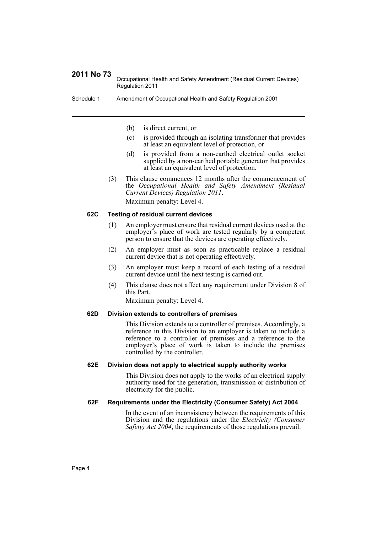## **2011 No 73**

Occupational Health and Safety Amendment (Residual Current Devices) Regulation 2011

Schedule 1 Amendment of Occupational Health and Safety Regulation 2001

(b) is direct current, or

- (c) is provided through an isolating transformer that provides at least an equivalent level of protection, or
- (d) is provided from a non-earthed electrical outlet socket supplied by a non-earthed portable generator that provides at least an equivalent level of protection.
- (3) This clause commences 12 months after the commencement of the *Occupational Health and Safety Amendment (Residual Current Devices) Regulation 2011*. Maximum penalty: Level 4.

#### **62C Testing of residual current devices**

- (1) An employer must ensure that residual current devices used at the employer's place of work are tested regularly by a competent person to ensure that the devices are operating effectively.
- (2) An employer must as soon as practicable replace a residual current device that is not operating effectively.
- (3) An employer must keep a record of each testing of a residual current device until the next testing is carried out.
- (4) This clause does not affect any requirement under Division 8 of this Part.

Maximum penalty: Level 4.

#### **62D Division extends to controllers of premises**

This Division extends to a controller of premises. Accordingly, a reference in this Division to an employer is taken to include a reference to a controller of premises and a reference to the employer's place of work is taken to include the premises controlled by the controller.

#### **62E Division does not apply to electrical supply authority works**

This Division does not apply to the works of an electrical supply authority used for the generation, transmission or distribution of electricity for the public.

#### **62F Requirements under the Electricity (Consumer Safety) Act 2004**

In the event of an inconsistency between the requirements of this Division and the regulations under the *Electricity (Consumer Safety) Act 2004*, the requirements of those regulations prevail.